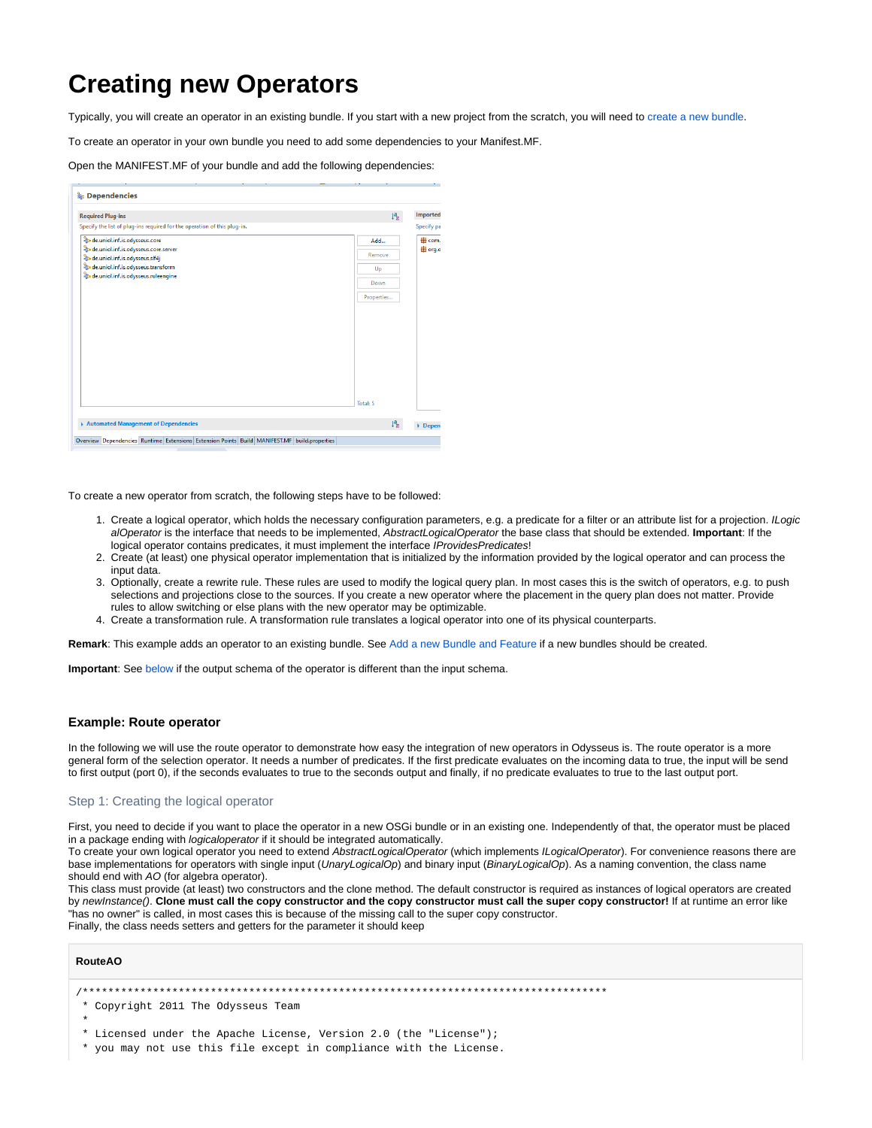# **Creating new Operators**

Typically, you will create an operator in an existing bundle. If you start with a new project from the scratch, you will need to [create a new bundle](https://wiki.odysseus.informatik.uni-oldenburg.de/display/ODYSSEUS/Add+a+new+Bundle+and+Feature).

To create an operator in your own bundle you need to add some dependencies to your Manifest.MF.

Open the MANIFEST.MF of your bundle and add the following dependencies:

| $\downarrow^a_z$<br><b>Required Plug-ins</b><br>Specify the list of plug-ins required for the operation of this plug-in.<br>de.uniol.inf.is.odysseus.core<br>Add<br>de.uniol.inf.is.odysseus.core.server<br>Remove<br>de.uniol.inf.is.odysseus.slf4j<br>de.uniol.inf.is.odysseus.transform<br>Up<br>de.uniol.inf.is.odysseus.ruleengine<br>Down<br>Properties | <b>Step</b> Dependencies                                                                     |  |                |
|---------------------------------------------------------------------------------------------------------------------------------------------------------------------------------------------------------------------------------------------------------------------------------------------------------------------------------------------------------------|----------------------------------------------------------------------------------------------|--|----------------|
|                                                                                                                                                                                                                                                                                                                                                               |                                                                                              |  | Imported       |
|                                                                                                                                                                                                                                                                                                                                                               |                                                                                              |  | Specify pa     |
|                                                                                                                                                                                                                                                                                                                                                               |                                                                                              |  | <b>⊞</b> com.  |
|                                                                                                                                                                                                                                                                                                                                                               |                                                                                              |  | <b>⊕</b> org.o |
|                                                                                                                                                                                                                                                                                                                                                               |                                                                                              |  |                |
|                                                                                                                                                                                                                                                                                                                                                               |                                                                                              |  |                |
|                                                                                                                                                                                                                                                                                                                                                               |                                                                                              |  |                |
|                                                                                                                                                                                                                                                                                                                                                               |                                                                                              |  |                |
| Total: 5                                                                                                                                                                                                                                                                                                                                                      |                                                                                              |  |                |
| $l^a$ <sub>2</sub><br>Automated Management of Dependencies                                                                                                                                                                                                                                                                                                    | Overview Dependencies Runtime Extensions Extension Points Build MANIFEST.MF build.properties |  | Depen          |

To create a new operator from scratch, the following steps have to be followed:

- 1. Create a logical operator, which holds the necessary configuration parameters, e.g. a predicate for a filter or an attribute list for a projection. ILogic alOperator is the interface that needs to be implemented, AbstractLogicalOperator the base class that should be extended. **Important**: If the logical operator contains predicates, it must implement the interface *IProvidesPredicates*!
- 2. Create (at least) one physical operator implementation that is initialized by the information provided by the logical operator and can process the input data.
- 3. Optionally, create a rewrite rule. These rules are used to modify the logical query plan. In most cases this is the switch of operators, e.g. to push selections and projections close to the sources. If you create a new operator where the placement in the query plan does not matter. Provide rules to allow switching or else plans with the new operator may be optimizable.
- 4. Create a transformation rule. A transformation rule translates a logical operator into one of its physical counterparts.

**Remark**: This example adds an operator to an existing bundle. See [Add a new Bundle and Feature](https://wiki.odysseus.informatik.uni-oldenburg.de/display/ODYSSEUS/Add+a+new+Bundle+and+Feature) if a new bundles should be created.

**Important**: See [below i](#page-2-0)f the output schema of the operator is different than the input schema.

## **Example: Route operator**

In the following we will use the route operator to demonstrate how easy the integration of new operators in Odysseus is. The route operator is a more general form of the selection operator. It needs a number of predicates. If the first predicate evaluates on the incoming data to true, the input will be send to first output (port 0), if the seconds evaluates to true to the seconds output and finally, if no predicate evaluates to true to the last output port.

#### Step 1: Creating the logical operator

First, you need to decide if you want to place the operator in a new OSGi bundle or in an existing one. Independently of that, the operator must be placed in a package ending with *logicaloperator* if it should be integrated automatically.

To create your own logical operator you need to extend AbstractLogicalOperator (which implements ILogicalOperator). For convenience reasons there are base implementations for operators with single input (UnaryLogicalOp) and binary input (BinaryLogicalOp). As a naming convention, the class name should end with AO (for algebra operator).

This class must provide (at least) two constructors and the clone method. The default constructor is required as instances of logical operators are created by newInstance(). **Clone must call the copy constructor and the copy constructor must call the super copy constructor!** If at runtime an error like "has no owner" is called, in most cases this is because of the missing call to the super copy constructor. Finally, the class needs setters and getters for the parameter it should keep

#### **RouteAO**

```
/**********************************************************************************
```
- \* Copyright 2011 The Odysseus Team
- \*
- \* Licensed under the Apache License, Version 2.0 (the "License");
- \* you may not use this file except in compliance with the License.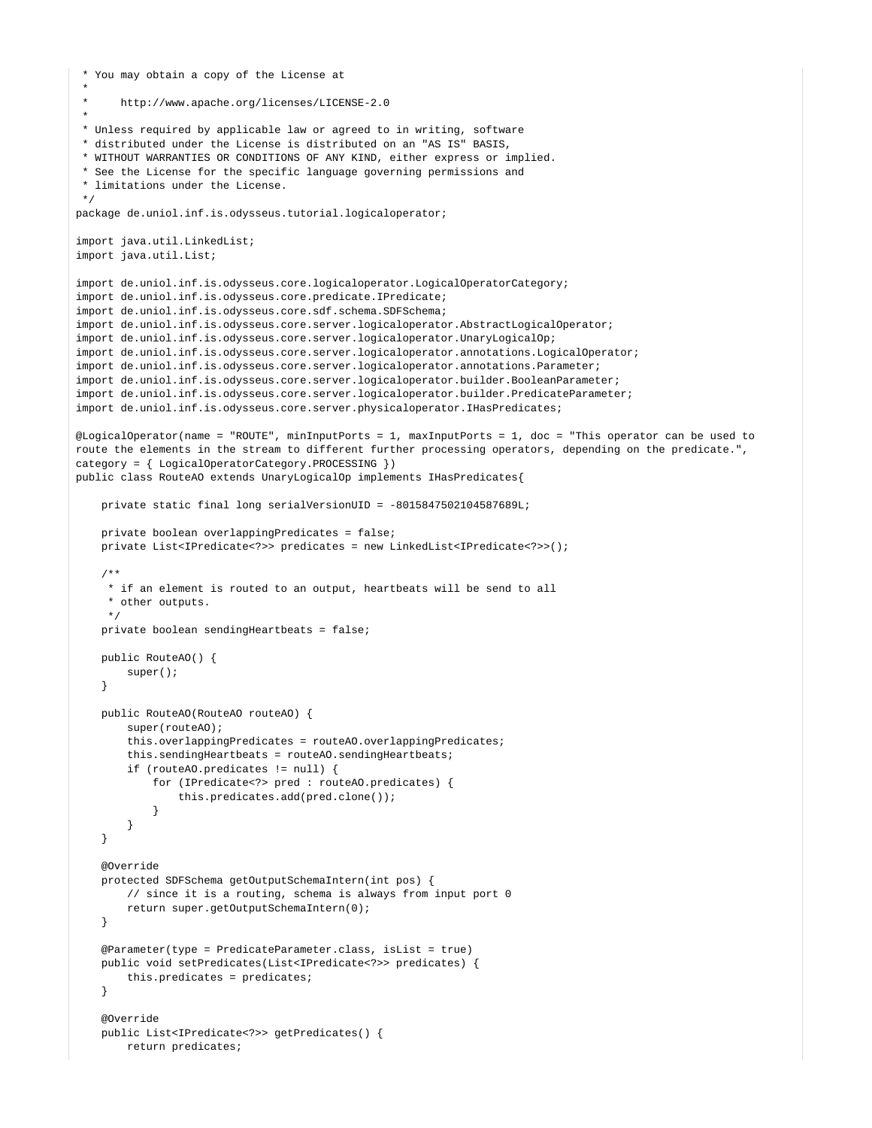```
 * You may obtain a copy of the License at
 *
 * http://www.apache.org/licenses/LICENSE-2.0
 *
 * Unless required by applicable law or agreed to in writing, software
 * distributed under the License is distributed on an "AS IS" BASIS,
 * WITHOUT WARRANTIES OR CONDITIONS OF ANY KIND, either express or implied.
  * See the License for the specific language governing permissions and
  * limitations under the License.
 */
package de.uniol.inf.is.odysseus.tutorial.logicaloperator;
import java.util.LinkedList;
import java.util.List;
import de.uniol.inf.is.odysseus.core.logicaloperator.LogicalOperatorCategory;
import de.uniol.inf.is.odysseus.core.predicate.IPredicate;
import de.uniol.inf.is.odysseus.core.sdf.schema.SDFSchema;
import de.uniol.inf.is.odysseus.core.server.logicaloperator.AbstractLogicalOperator;
import de.uniol.inf.is.odysseus.core.server.logicaloperator.UnaryLogicalOp;
import de.uniol.inf.is.odysseus.core.server.logicaloperator.annotations.LogicalOperator;
import de.uniol.inf.is.odysseus.core.server.logicaloperator.annotations.Parameter;
import de.uniol.inf.is.odysseus.core.server.logicaloperator.builder.BooleanParameter;
import de.uniol.inf.is.odysseus.core.server.logicaloperator.builder.PredicateParameter;
import de.uniol.inf.is.odysseus.core.server.physicaloperator.IHasPredicates;
@LogicalOperator(name = "ROUTE", minInputPorts = 1, maxInputPorts = 1, doc = "This operator can be used to 
route the elements in the stream to different further processing operators, depending on the predicate.", 
category = { LogicalOperatorCategory.PROCESSING })
public class RouteAO extends UnaryLogicalOp implements IHasPredicates{
    private static final long serialVersionUID = -8015847502104587689L;
    private boolean overlappingPredicates = false;
    private List<IPredicate<?>> predicates = new LinkedList<IPredicate<?>>();
     /**
     * if an element is routed to an output, heartbeats will be send to all
     * other outputs.
 */
    private boolean sendingHeartbeats = false;
    public RouteAO() {
        super();
 }
    public RouteAO(RouteAO routeAO) {
        super(routeAO);
        this.overlappingPredicates = routeAO.overlappingPredicates;
        this.sendingHeartbeats = routeAO.sendingHeartbeats;
        if (routeAO.predicates != null) {
            for (IPredicate<?> pred : routeAO.predicates) {
                 this.predicates.add(pred.clone());
 }
        }
    }
    @Override
    protected SDFSchema getOutputSchemaIntern(int pos) {
        // since it is a routing, schema is always from input port 0
        return super.getOutputSchemaIntern(0);
     }
    @Parameter(type = PredicateParameter.class, isList = true)
    public void setPredicates(List<IPredicate<?>> predicates) {
        this.predicates = predicates;
 }
     @Override
    public List<IPredicate<?>> getPredicates() {
        return predicates;
```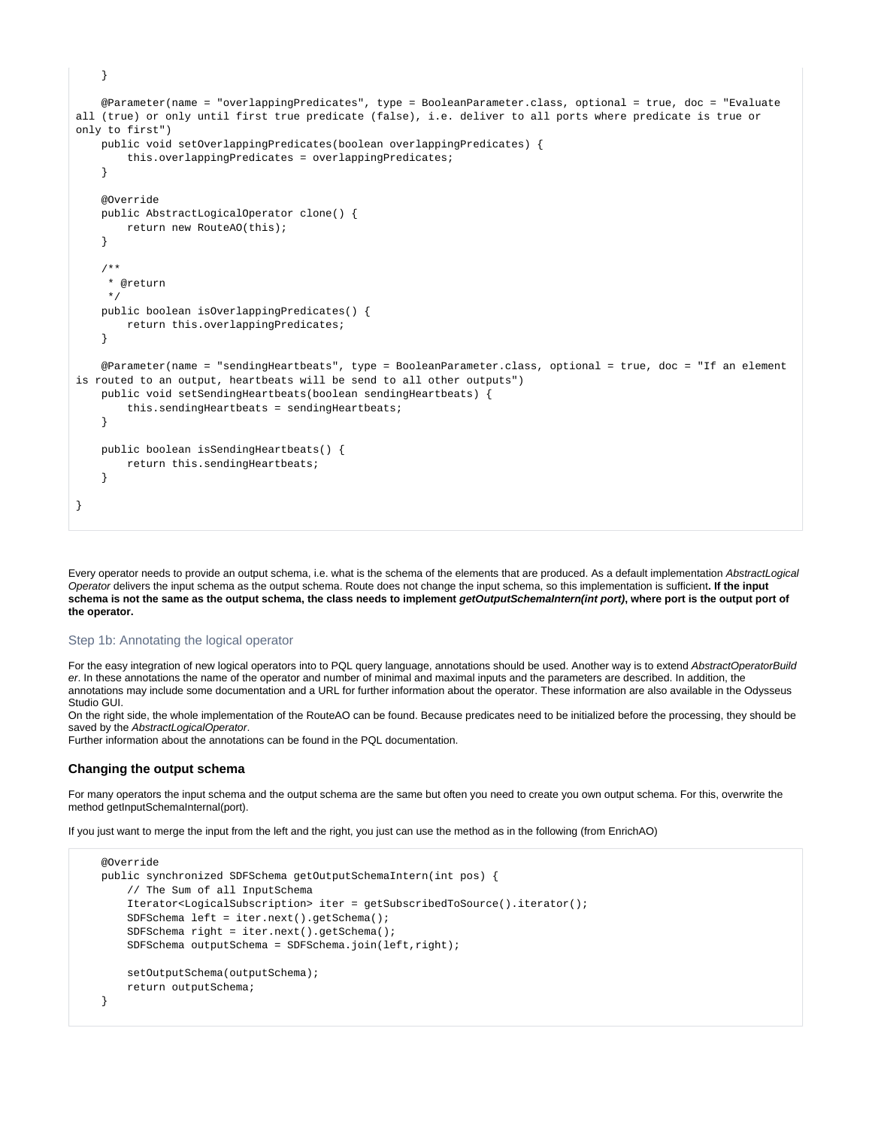```
 @Parameter(name = "overlappingPredicates", type = BooleanParameter.class, optional = true, doc = "Evaluate 
all (true) or only until first true predicate (false), i.e. deliver to all ports where predicate is true or 
only to first")
    public void setOverlappingPredicates(boolean overlappingPredicates) {
         this.overlappingPredicates = overlappingPredicates;
 }
    @Override
    public AbstractLogicalOperator clone() {
        return new RouteAO(this);
     }
     /**
     * @return
     */
    public boolean isOverlappingPredicates() {
        return this.overlappingPredicates;
 }
    @Parameter(name = "sendingHeartbeats", type = BooleanParameter.class, optional = true, doc = "If an element 
is routed to an output, heartbeats will be send to all other outputs")
    public void setSendingHeartbeats(boolean sendingHeartbeats) {
        this.sendingHeartbeats = sendingHeartbeats;
     }
    public boolean isSendingHeartbeats() {
       return this.sendingHeartbeats;
 }
}
```
Every operator needs to provide an output schema, i.e. what is the schema of the elements that are produced. As a default implementation AbstractLogical Operator delivers the input schema as the output schema. Route does not change the input schema, so this implementation is sufficient**. If the input**  schema is not the same as the output schema, the class needs to implement *getOutputSchemaIntern(int port)*, where port is the output port of **the operator.**

### Step 1b: Annotating the logical operator

}

For the easy integration of new logical operators into to PQL query language, annotations should be used. Another way is to extend AbstractOperatorBuild er. In these annotations the name of the operator and number of minimal and maximal inputs and the parameters are described. In addition, the annotations may include some documentation and a URL for further information about the operator. These information are also available in the Odysseus Studio GUI.

On the right side, the whole implementation of the RouteAO can be found. Because predicates need to be initialized before the processing, they should be saved by the AbstractLogicalOperator.

Further information about the annotations can be found in the PQL documentation.

#### <span id="page-2-0"></span>**Changing the output schema**

For many operators the input schema and the output schema are the same but often you need to create you own output schema. For this, overwrite the method getInputSchemaInternal(port).

If you just want to merge the input from the left and the right, you just can use the method as in the following (from EnrichAO)

```
 @Override
 public synchronized SDFSchema getOutputSchemaIntern(int pos) {
    // The Sum of all InputSchema
     Iterator<LogicalSubscription> iter = getSubscribedToSource().iterator();
    SDFSchema left = iter.next().getSchema();
    SDFSchema right = iter.next().getSchema();
    SDFSchema outputSchema = SDFSchema.join(left,right);
    setOutputSchema(outputSchema);
    return outputSchema;
 }
```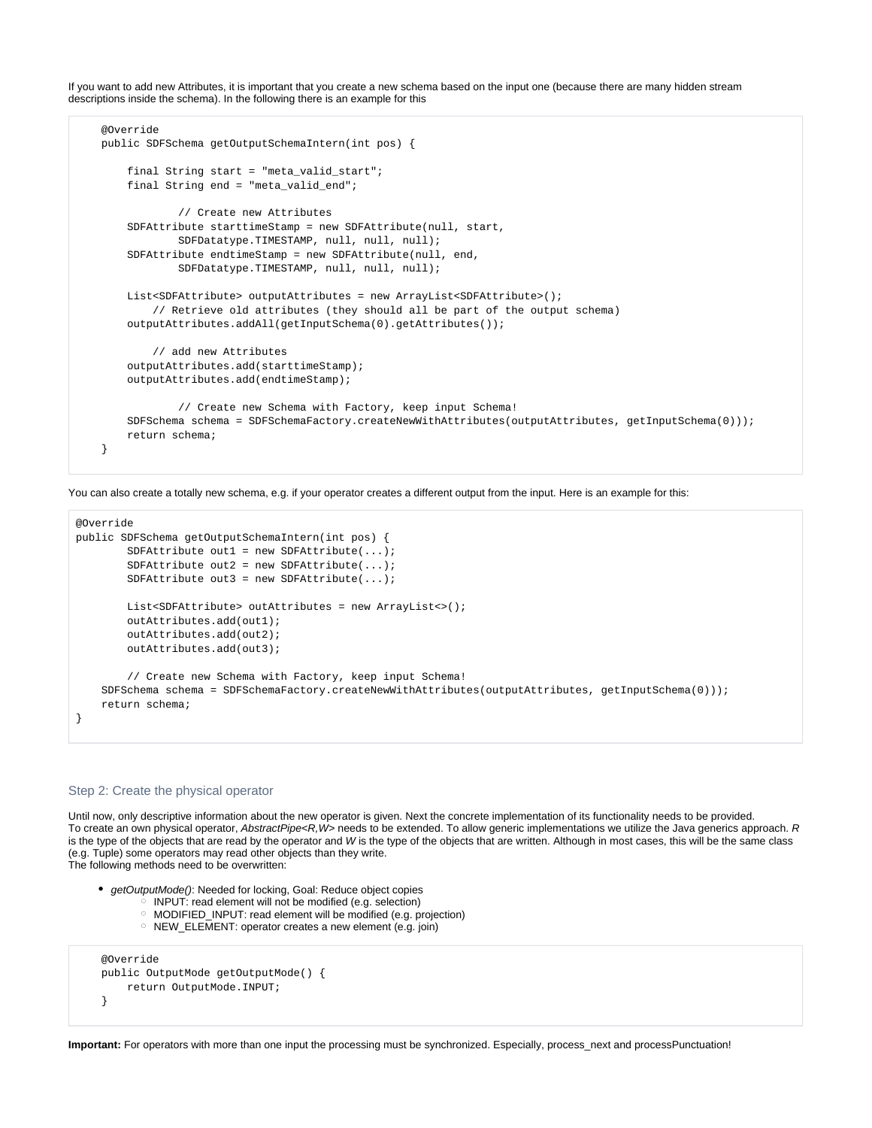If you want to add new Attributes, it is important that you create a new schema based on the input one (because there are many hidden stream descriptions inside the schema). In the following there is an example for this

```
 @Override
 public SDFSchema getOutputSchemaIntern(int pos) {
     final String start = "meta_valid_start";
    final String end = "meta_valid_end";
             // Create new Attributes
    SDFAttribute starttimeStamp = new SDFAttribute(null, start,
             SDFDatatype.TIMESTAMP, null, null, null);
     SDFAttribute endtimeStamp = new SDFAttribute(null, end,
             SDFDatatype.TIMESTAMP, null, null, null);
   List<SDFAttribute> outputAttributes = new ArrayList<SDFAttribute>();
         // Retrieve old attributes (they should all be part of the output schema)
    outputAttributes.addAll(getInputSchema(0).getAttributes());
         // add new Attributes
    outputAttributes.add(starttimeStamp);
    outputAttributes.add(endtimeStamp);
             // Create new Schema with Factory, keep input Schema!
    SDFSchema schema = SDFSchemaFactory.createNewWithAttributes(outputAttributes, getInputSchema(0)));
    return schema;
 }
```
You can also create a totally new schema, e.g. if your operator creates a different output from the input. Here is an example for this:

```
@Override
public SDFSchema getOutputSchemaIntern(int pos) {
        SDFAttribute out1 = new SDFAttribute(...);
       SDFAttribute out2 = new SDFAttribute(...);SDFAttribute out3 = new SDFAttribute( \ldots );
       List<SDFAttribute> outAttributes = new ArrayList <> ();
        outAttributes.add(out1);
        outAttributes.add(out2);
        outAttributes.add(out3);
         // Create new Schema with Factory, keep input Schema!
    SDFSchema schema = SDFSchemaFactory.createNewWithAttributes(outputAttributes, getInputSchema(0)));
    return schema;
}
```
## Step 2: Create the physical operator

Until now, only descriptive information about the new operator is given. Next the concrete implementation of its functionality needs to be provided. To create an own physical operator, AbstractPipe<R, W> needs to be extended. To allow generic implementations we utilize the Java generics approach. R is the type of the objects that are read by the operator and W is the type of the objects that are written. Although in most cases, this will be the same class (e.g. Tuple) some operators may read other objects than they write. The following methods need to be overwritten:

- getOutputMode(): Needed for locking, Goal: Reduce object copies
	- $\circ$  INPUT: read element will not be modified (e.g. selection) MODIFIED\_INPUT: read element will be modified (e.g. projection)
		-
	- o NEW\_ELEMENT: operator creates a new element (e.g. join)

```
 @Override
 public OutputMode getOutputMode() {
     return OutputMode.INPUT;
 }
```
Important: For operators with more than one input the processing must be synchronized. Especially, process\_next and processPunctuation!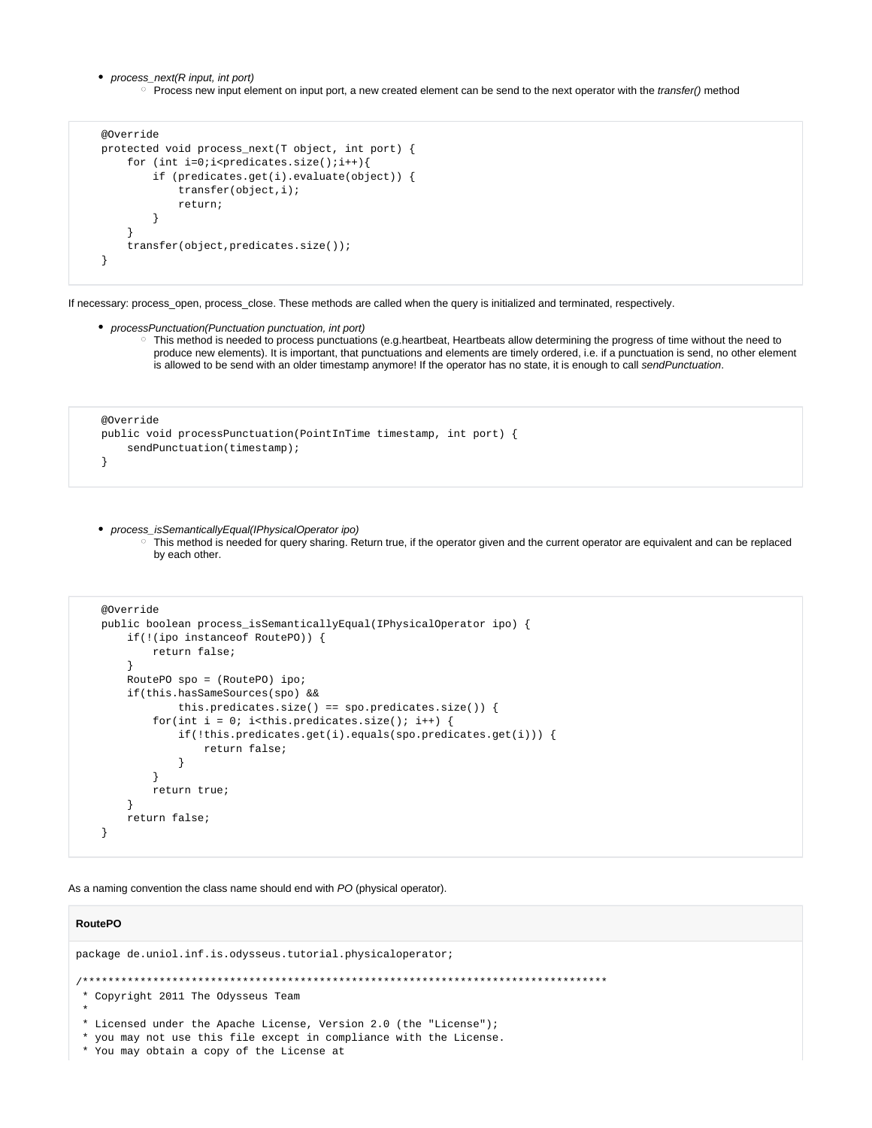- process\_next(R input, int port)
	- <sup>o</sup> Process new input element on input port, a new created element can be send to the next operator with the transfer() method

```
 @Override
    protected void process_next(T object, int port) {
       for (int i=0;i<predicates.size();i++){
            if (predicates.get(i).evaluate(object)) {
                transfer(object,i);
                return;
 }
 }
        transfer(object,predicates.size());
    }
```
If necessary: process\_open, process\_close. These methods are called when the query is initialized and terminated, respectively.

```
processPunctuation(Punctuation punctuation, int port)
```
This method is needed to process punctuations (e.g.heartbeat, Heartbeats allow determining the progress of time without the need to produce new elements). It is important, that punctuations and elements are timely ordered, i.e. if a punctuation is send, no other element is allowed to be send with an older timestamp anymore! If the operator has no state, it is enough to call sendPunctuation.

```
 @Override
    public void processPunctuation(PointInTime timestamp, int port) {
        sendPunctuation(timestamp);
 }
```
process\_isSemanticallyEqual(IPhysicalOperator ipo)

This method is needed for query sharing. Return true, if the operator given and the current operator are equivalent and can be replaced by each other.

```
 @Override
    public boolean process_isSemanticallyEqual(IPhysicalOperator ipo) {
        if(!(ipo instanceof RoutePO)) {
            return false;
 }
        RoutePO spo = (RoutePO) ipo;
        if(this.hasSameSources(spo) &&
               this.predicates.size() == spo.predicates.size()) {
           for(int i = 0; i<this.predicates.size(); i++) {
               if(!this.predicates.get(i).equals(spo.predicates.get(i))) {
                   return false;
 }
 }
            return true;
 }
        return false;
    }
```
As a naming convention the class name should end with PO (physical operator).

# **RoutePO**

```
package de.uniol.inf.is.odysseus.tutorial.physicaloperator;
/**********************************************************************************
 * Copyright 2011 The Odysseus Team
 *
 * Licensed under the Apache License, Version 2.0 (the "License");
  * you may not use this file except in compliance with the License.
  * You may obtain a copy of the License at
```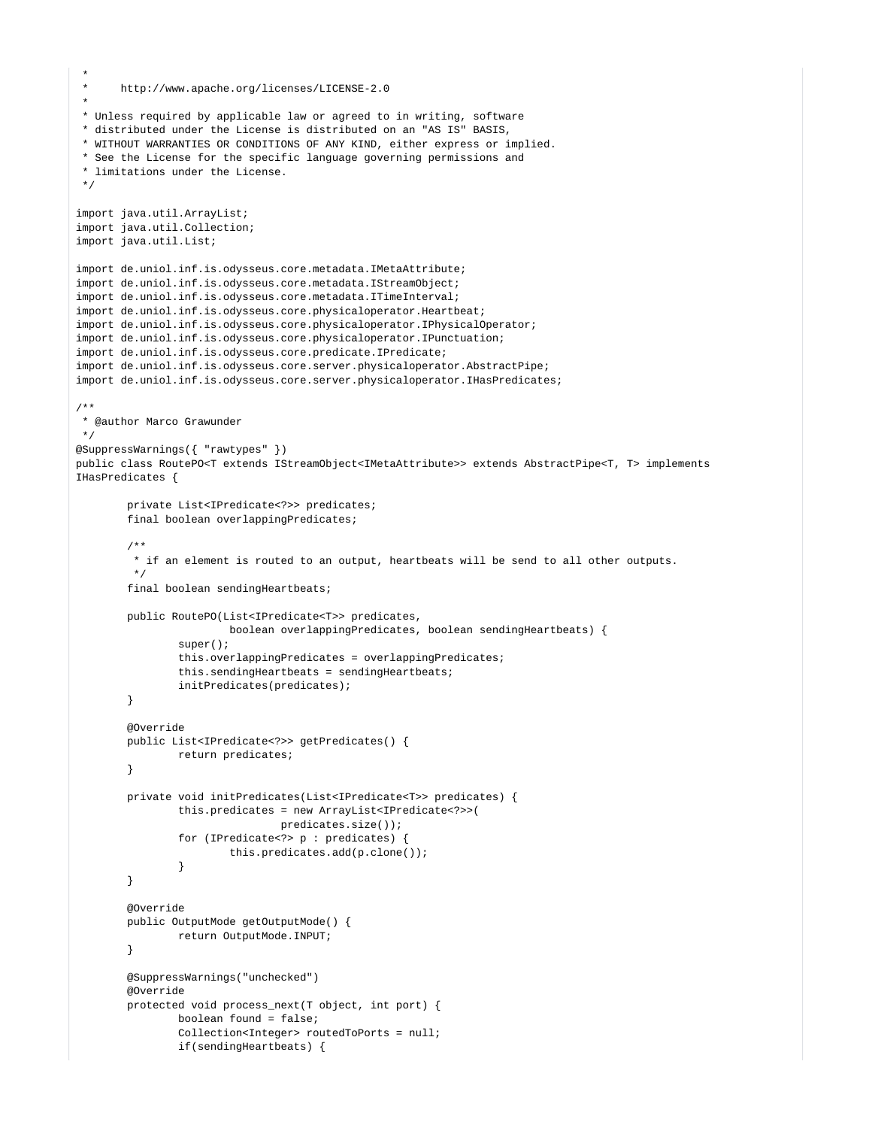```
 *
      http://www.apache.org/licenses/LICENSE-2.0
 *
 * Unless required by applicable law or agreed to in writing, software
 * distributed under the License is distributed on an "AS IS" BASIS,
 * WITHOUT WARRANTIES OR CONDITIONS OF ANY KIND, either express or implied.
  * See the License for the specific language governing permissions and
  * limitations under the License.
  */
import java.util.ArrayList;
import java.util.Collection;
import java.util.List;
import de.uniol.inf.is.odysseus.core.metadata.IMetaAttribute;
import de.uniol.inf.is.odysseus.core.metadata.IStreamObject;
import de.uniol.inf.is.odysseus.core.metadata.ITimeInterval;
import de.uniol.inf.is.odysseus.core.physicaloperator.Heartbeat;
import de.uniol.inf.is.odysseus.core.physicaloperator.IPhysicalOperator;
import de.uniol.inf.is.odysseus.core.physicaloperator.IPunctuation;
import de.uniol.inf.is.odysseus.core.predicate.IPredicate;
import de.uniol.inf.is.odysseus.core.server.physicaloperator.AbstractPipe;
import de.uniol.inf.is.odysseus.core.server.physicaloperator.IHasPredicates;
/**
 * @author Marco Grawunder
 */
@SuppressWarnings({ "rawtypes" })
public class RoutePO<T extends IStreamObject<IMetaAttribute>> extends AbstractPipe<T, T> implements 
IHasPredicates {
        private List<IPredicate<?>> predicates;
         final boolean overlappingPredicates;
         /**
          * if an element is routed to an output, heartbeats will be send to all other outputs.
          */
        final boolean sendingHeartbeats;
        public RoutePO(List<IPredicate<T>> predicates,
                        boolean overlappingPredicates, boolean sendingHeartbeats) {
                 super();
                 this.overlappingPredicates = overlappingPredicates;
                 this.sendingHeartbeats = sendingHeartbeats;
                 initPredicates(predicates);
         }
        @Override
        public List<IPredicate<?>> getPredicates() {
                 return predicates;
 }
        private void initPredicates(List<IPredicate<T>> predicates) {
                 this.predicates = new ArrayList<IPredicate<?>>(
                                predicates.size());
                 for (IPredicate<?> p : predicates) {
                         this.predicates.add(p.clone());
 }
 }
         @Override
        public OutputMode getOutputMode() {
                return OutputMode.INPUT;
         }
        @SuppressWarnings("unchecked")
        @Override
        protected void process_next(T object, int port) {
                boolean found = false;
                 Collection<Integer> routedToPorts = null;
                if(sendingHeartbeats) {
```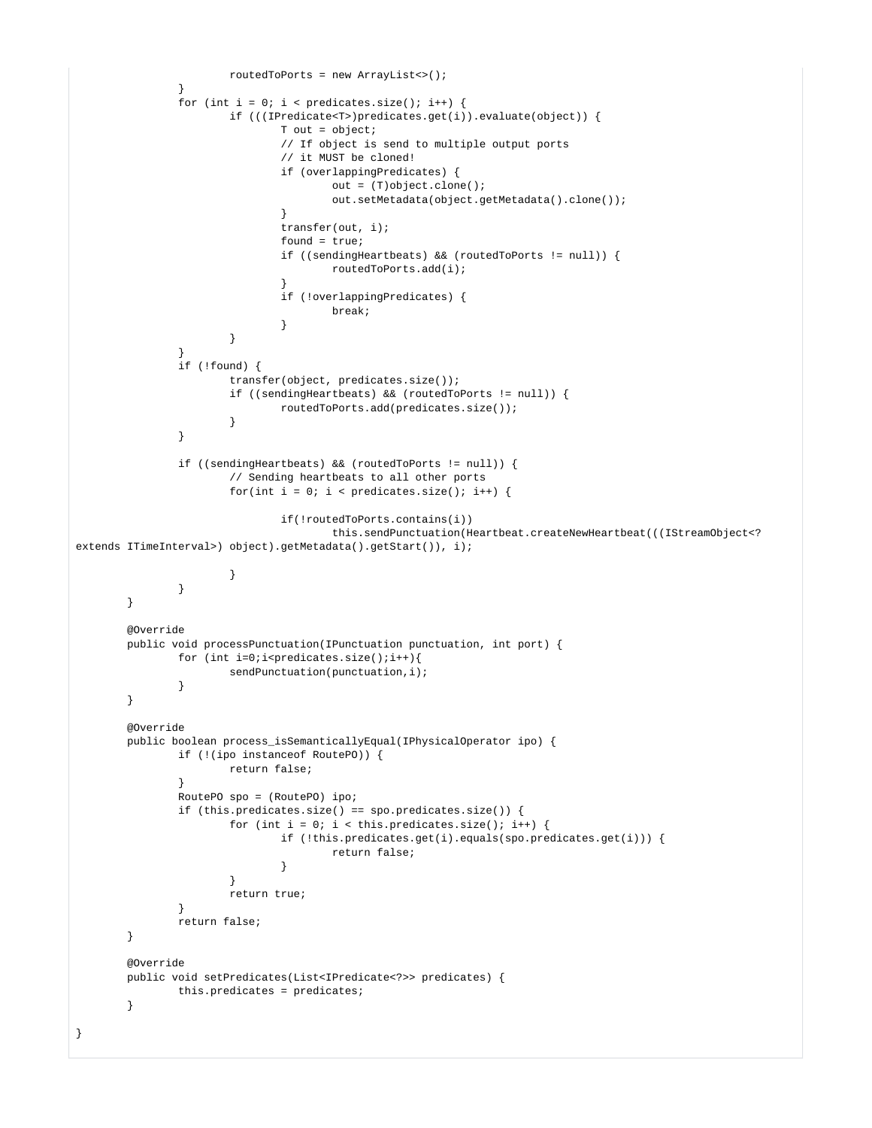```
 routedToPorts = new ArrayList<>();
 }
             for (int i = 0; i < predicates.size(); i++) {
                     if (((IPredicate<T>)predicates.get(i)).evaluate(object)) {
                            T out = object;
                            // If object is send to multiple output ports
                            // it MUST be cloned!
                            if (overlappingPredicates) {
                                  out = (T)object.close() out.setMetadata(object.getMetadata().clone());
 }
                            transfer(out, i);
                            found = true;
                            if ((sendingHeartbeats) && (routedToPorts != null)) {
                                   routedToPorts.add(i);
 }
                            if (!overlappingPredicates) {
                                   break;
 }
 }
 }
              if (!found) {
                     transfer(object, predicates.size());
                     if ((sendingHeartbeats) && (routedToPorts != null)) {
                            routedToPorts.add(predicates.size());
 }
 }
              if ((sendingHeartbeats) && (routedToPorts != null)) {
                     // Sending heartbeats to all other ports
                    for(int i = 0; i < predicates.size(); i++) {
                            if(!routedToPorts.contains(i))
                                   this.sendPunctuation(Heartbeat.createNewHeartbeat(((IStreamObject<? 
extends ITimeInterval>) object).getMetadata().getStart()), i);
 }
 }
       }
       @Override
       public void processPunctuation(IPunctuation punctuation, int port) {
             for (int i=0;i<predicates.size();i++){
                     sendPunctuation(punctuation,i);
 }
        }
       @Override
       public boolean process_isSemanticallyEqual(IPhysicalOperator ipo) {
              if (!(ipo instanceof RoutePO)) {
                     return false;
 }
              RoutePO spo = (RoutePO) ipo;
              if (this.predicates.size() == spo.predicates.size()) {
                    for (int i = 0; i < this.predicates.size(); i++) {
                            if (!this.predicates.get(i).equals(spo.predicates.get(i))) {
                                   return false;
 }
 }
                     return true;
 }
              return false;
        }
       @Override
       public void setPredicates(List<IPredicate<?>> predicates) {
              this.predicates = predicates;
        }
}
```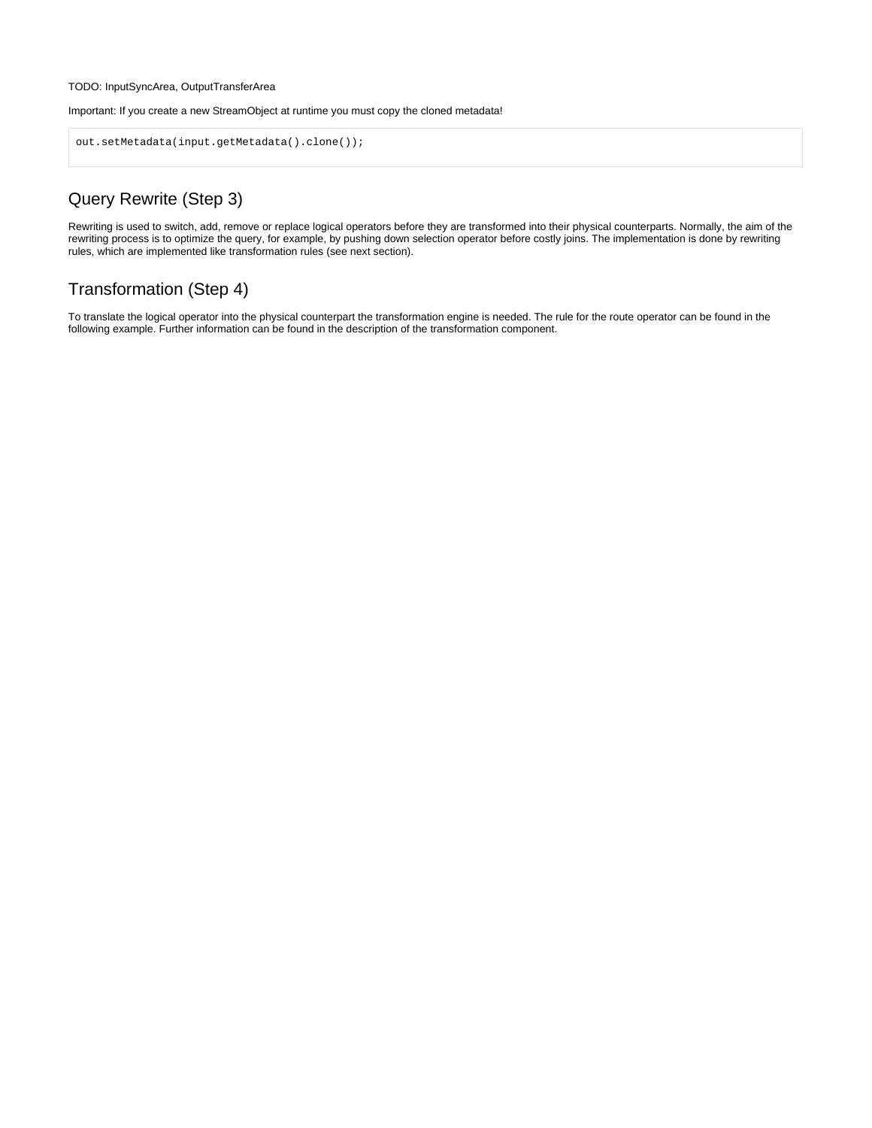#### TODO: InputSyncArea, OutputTransferArea

Important: If you create a new StreamObject at runtime you must copy the cloned metadata!

```
out.setMetadata(input.getMetadata().clone());
```
# Query Rewrite (Step 3)

Rewriting is used to switch, add, remove or replace logical operators before they are transformed into their physical counterparts. Normally, the aim of the rewriting process is to optimize the query, for example, by pushing down selection operator before costly joins. The implementation is done by rewriting rules, which are implemented like transformation rules (see next section).

# Transformation (Step 4)

To translate the logical operator into the physical counterpart the transformation engine is needed. The rule for the route operator can be found in the following example. Further information can be found in the description of the transformation component.